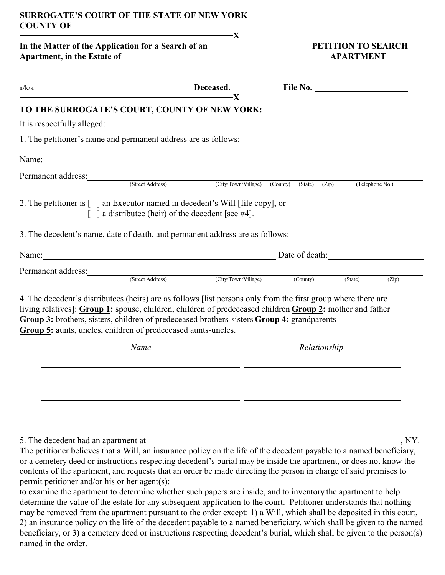## **SURROGATE'S COURT OF THE STATE OF NEW YORK COUNTY OF**

 **X**

In the Matter of the Application for a Search of an **PETITION TO SEARCH Apartment, in the Estate of APARTMENT** 

| a/k/a                                                                                                                                                                                                                                                                                                                                                                                                          | Deceased.                                                                      |              |  | File No.        |       |
|----------------------------------------------------------------------------------------------------------------------------------------------------------------------------------------------------------------------------------------------------------------------------------------------------------------------------------------------------------------------------------------------------------------|--------------------------------------------------------------------------------|--------------|--|-----------------|-------|
| TO THE SURROGATE'S COURT, COUNTY OF NEW YORK:                                                                                                                                                                                                                                                                                                                                                                  | -X                                                                             |              |  |                 |       |
| It is respectfully alleged:                                                                                                                                                                                                                                                                                                                                                                                    |                                                                                |              |  |                 |       |
| 1. The petitioner's name and permanent address are as follows:                                                                                                                                                                                                                                                                                                                                                 |                                                                                |              |  |                 |       |
| Name: Name:                                                                                                                                                                                                                                                                                                                                                                                                    |                                                                                |              |  |                 |       |
| Permanent address: (Street Address) (City/Town/Village) (County) (State) (Zip)                                                                                                                                                                                                                                                                                                                                 |                                                                                |              |  |                 |       |
|                                                                                                                                                                                                                                                                                                                                                                                                                |                                                                                |              |  | (Telephone No.) |       |
| 2. The petitioner is [ ] an Executor named in decedent's Will [file copy], or                                                                                                                                                                                                                                                                                                                                  | $\lceil$ a distributee (heir) of the decedent [see #4].                        |              |  |                 |       |
| 3. The decedent's name, date of death, and permanent address are as follows:                                                                                                                                                                                                                                                                                                                                   |                                                                                |              |  |                 |       |
| Name: Date of death:                                                                                                                                                                                                                                                                                                                                                                                           |                                                                                |              |  |                 |       |
|                                                                                                                                                                                                                                                                                                                                                                                                                |                                                                                |              |  |                 |       |
| Permanent address: (Street Address) (City/Town/Village) (County)                                                                                                                                                                                                                                                                                                                                               |                                                                                |              |  | (State)         | (Zip) |
| 4. The decedent's distributees (heirs) are as follows [list persons only from the first group where there are<br>living relatives]: Group 1: spouse, children, children of predeceased children Group 2: mother and father<br>Group 3: brothers, sisters, children of predeceased brothers-sisters Group 4: grandparents<br>Group 5: aunts, uncles, children of predeceased aunts-uncles.<br>Name              |                                                                                |              |  |                 |       |
|                                                                                                                                                                                                                                                                                                                                                                                                                |                                                                                | Relationship |  |                 |       |
|                                                                                                                                                                                                                                                                                                                                                                                                                |                                                                                |              |  |                 |       |
|                                                                                                                                                                                                                                                                                                                                                                                                                |                                                                                |              |  |                 |       |
|                                                                                                                                                                                                                                                                                                                                                                                                                |                                                                                |              |  |                 |       |
|                                                                                                                                                                                                                                                                                                                                                                                                                |                                                                                |              |  |                 |       |
| 5. The decedent had an apartment at                                                                                                                                                                                                                                                                                                                                                                            |                                                                                |              |  |                 | , NY. |
| The petitioner believes that a Will, an insurance policy on the life of the decedent payable to a named beneficiary,<br>or a cemetery deed or instructions respecting decedent's burial may be inside the apartment, or does not know the<br>contents of the apartment, and requests that an order be made directing the person in charge of said premises to<br>permit petitioner and/or his or her agent(s): |                                                                                |              |  |                 |       |
| to examine the apartment to determine whether such papers are inside, and to inventory the apartment to help<br>the value of the estate few                                                                                                                                                                                                                                                                    | ony expected and institution to the count Detitionary understands that nothing |              |  |                 |       |

determine the value of the estate for any subsequent application to the court. Petitioner understands that nothing may be removed from the apartment pursuant to the order except: 1) a Will, which shall be deposited in this court, 2) an insurance policy on the life of the decedent payable to a named beneficiary, which shall be given to the named beneficiary, or 3) a cemetery deed or instructions respecting decedent's burial, which shall be given to the person(s) named in the order.